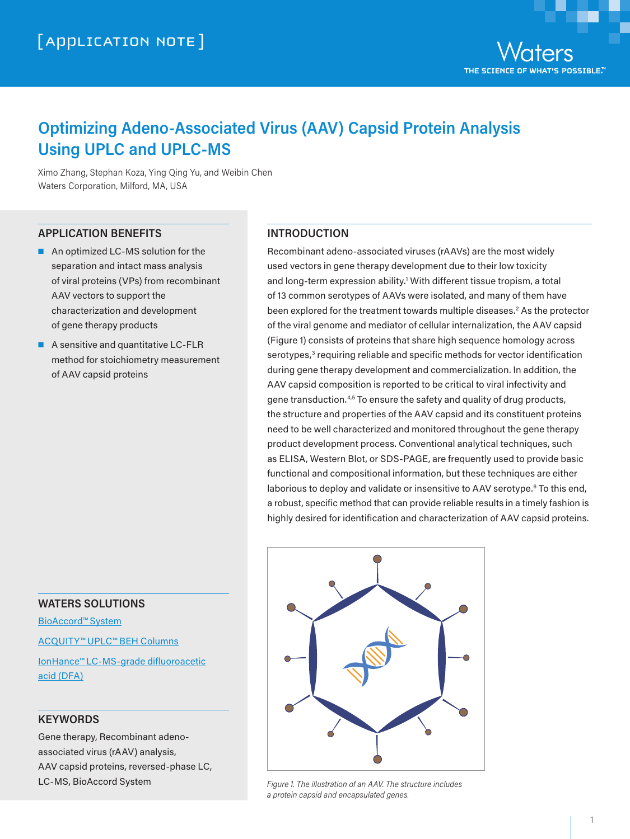# **Optimizing Adeno-Associated Virus (AAV) Capsid Protein Analysis Using UPLC and UPLC-MS**

Ximo Zhang, Stephan Koza, Ying Qing Yu, and Weibin Chen Waters Corporation, Milford, MA, USA

### **APPLICATION BENEFITS**

- An optimized LC-MS solution for the separation and intact mass analysis of viral proteins (VPs) from recombinant AAV vectors to support the characterization and development of gene therapy products
- A sensitive and quantitative LC-FLR method for stoichiometry measurement of AAV capsid proteins

### **INTRODUCTION**

Recombinant adeno-associated viruses (rAAVs) are the most widely used vectors in gene therapy development due to their low toxicity and long-term expression ability.<sup>1</sup> With different tissue tropism, a total of 13 common serotypes of AAVs were isolated, and many of them have been explored for the treatment towards multiple diseases.<sup>2</sup> As the protector of the viral genome and mediator of cellular internalization, the AAV capsid (Figure 1) consists of proteins that share high sequence homology across serotypes,<sup>3</sup> requiring reliable and specific methods for vector identification during gene therapy development and commercialization. In addition, the AAV capsid composition is reported to be critical to viral infectivity and gene transduction.4,5 To ensure the safety and quality of drug products, the structure and properties of the AAV capsid and its constituent proteins need to be well characterized and monitored throughout the gene therapy product development process. Conventional analytical techniques, such as ELISA, Western Blot, or SDS-PAGE, are frequently used to provide basic functional and compositional information, but these techniques are either laborious to deploy and validate or insensitive to AAV serotype.<sup>6</sup> To this end, a robust, specific method that can provide reliable results in a timely fashion is highly desired for identification and characterization of AAV capsid proteins.



#### *Figure 1. The illustration of an AAV. The structure includes a protein capsid and encapsulated genes.*

### **WATERS SOLUTIONS**

[BioAccord™ System](https://www.waters.com/waters/nav.htm?cid=135005818)

[ACQUITY™ UPLC™ BEH](https://www.waters.com/waters/nav.htm?cid=513206) Columns

[IonHance™ LC-MS-grade](https://www.waters.com/waters/nav.htm?cid=135018226) difluoroacetic [acid \(DFA\)](https://www.waters.com/waters/nav.htm?cid=135018226)

### **KEYWORDS**

Gene therapy, Recombinant adenoassociated virus (rAAV) analysis, AAV capsid proteins, reversed-phase LC, LC-MS, BioAccord System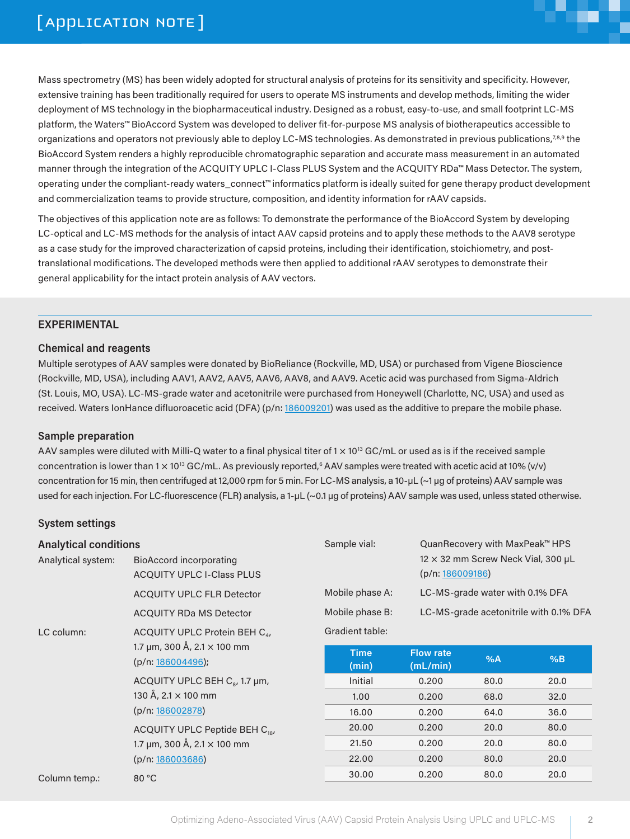

2

Mass spectrometry (MS) has been widely adopted for structural analysis of proteins for its sensitivity and specificity. However, extensive training has been traditionally required for users to operate MS instruments and develop methods, limiting the wider deployment of MS technology in the biopharmaceutical industry. Designed as a robust, easy-to-use, and small footprint LC-MS platform, the Waters™ BioAccord System was developed to deliver fit-for-purpose MS analysis of biotherapeutics accessible to organizations and operators not previously able to deploy LC-MS technologies. As demonstrated in previous publications,7,8,9 the BioAccord System renders a highly reproducible chromatographic separation and accurate mass measurement in an automated manner through the integration of the ACQUITY UPLC I-Class PLUS System and the ACQUITY RDa™ Mass Detector. The system, operating under the compliant-ready waters\_connect™ informatics platform is ideally suited for gene therapy product development and commercialization teams to provide structure, composition, and identity information for rAAV capsids.

The objectives of this application note are as follows: To demonstrate the performance of the BioAccord System by developing LC-optical and LC-MS methods for the analysis of intact AAV capsid proteins and to apply these methods to the AAV8 serotype as a case study for the improved characterization of capsid proteins, including their identification, stoichiometry, and posttranslational modifications. The developed methods were then applied to additional rAAV serotypes to demonstrate their general applicability for the intact protein analysis of AAV vectors.

### **EXPERIMENTAL**

### **Chemical and reagents**

Multiple serotypes of AAV samples were donated by BioReliance (Rockville, MD, USA) or purchased from Vigene Bioscience (Rockville, MD, USA), including AAV1, AAV2, AAV5, AAV6, AAV8, and AAV9. Acetic acid was purchased from Sigma-Aldrich (St. Louis, MO, USA). LC-MS-grade water and acetonitrile were purchased from Honeywell (Charlotte, NC, USA) and used as received. Waters IonHance difluoroacetic acid (DFA) (p/n: [186009201](https://www.waters.com/nextgen/global/sku/186009201)) was used as the additive to prepare the mobile phase.

### **Sample preparation**

AAV samples were diluted with Milli-Q water to a final physical titer of  $1 \times 10^{13}$  GC/mL or used as is if the received sample concentration is lower than 1  $\times$  10<sup>13</sup> GC/mL. As previously reported,<sup>6</sup> AAV samples were treated with acetic acid at 10% (v/v) concentration for 15 min, then centrifuged at 12,000 rpm for 5 min. For LC-MS analysis, a 10-µL (~1 µg of proteins) AAV sample was used for each injection. For LC-fluorescence (FLR) analysis, a 1-µL (~0.1 µg of proteins) AAV sample was used, unless stated otherwise.

### **System settings**

| <b>Analytical conditions</b> |                                                             | Sample vial:         | QuanRecovery with MaxPeak™ HPS         |                                           |      |
|------------------------------|-------------------------------------------------------------|----------------------|----------------------------------------|-------------------------------------------|------|
| Analytical system:           | BioAccord incorporating<br><b>ACQUITY UPLC I-Class PLUS</b> |                      | (p/n: 186009186)                       | $12 \times 32$ mm Screw Neck Vial, 300 µL |      |
|                              | <b>ACQUITY UPLC FLR Detector</b>                            | Mobile phase A:      | LC-MS-grade water with 0.1% DFA        |                                           |      |
|                              | <b>ACQUITY RDa MS Detector</b>                              | Mobile phase B:      | LC-MS-grade acetonitrile with 0.1% DFA |                                           |      |
| LC column:                   | ACQUITY UPLC Protein BEH C <sub>4</sub> ,                   | Gradient table:      |                                        |                                           |      |
|                              | 1.7 µm, 300 Å, 2.1 $\times$ 100 mm<br>(p/n: 186004496);     | <b>Time</b><br>(min) | <b>Flow rate</b><br>(mL/min)           | %A                                        | %B   |
|                              | ACQUITY UPLC BEH $C_{\rm s}$ , 1.7 µm,                      | Initial              | 0.200                                  | 80.0                                      | 20.0 |
|                              | 130 Å, $2.1 \times 100$ mm                                  | 1,00                 | 0,200                                  | 68,0                                      | 32.0 |
|                              | (p/n: 186002878)                                            | 16.00                | 0.200                                  | 64.0                                      | 36.0 |
|                              | ACQUITY UPLC Peptide BEH C <sub>18</sub> ,                  | 20.00                | 0.200                                  | 20.0                                      | 80.0 |
|                              | 1.7 µm, 300 Å, 2.1 $\times$ 100 mm                          | 21.50                | 0,200                                  | 20.0                                      | 80.0 |
|                              | (p/n: 186003686)                                            | 22,00                | 0,200                                  | 80,0                                      | 20,0 |
| Column temp.:                | 80 °C                                                       | 30.00                | 0.200                                  | 80.0                                      | 20.0 |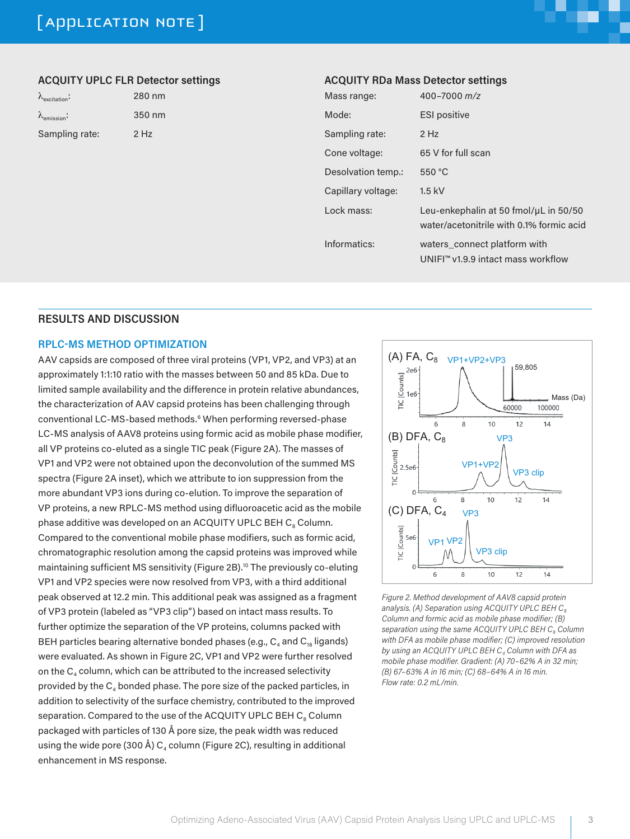# [ APPLICATION NOTE ]



### **ACQUITY UPLC FLR Detector settings**

| $\Lambda_{\text{excitation}}$ |  |
|-------------------------------|--|
| $\lambda_{\text{emission}}$   |  |
| Sampling rate:                |  |

λexcitation: 280 nm 350 nm  $2$  Hz

### **ACQUITY RDa Mass Detector settings**

| Mass range:        | 400-7000 m/z                                                                      |
|--------------------|-----------------------------------------------------------------------------------|
| Mode:              | <b>ESI</b> positive                                                               |
| Sampling rate:     | $2$ Hz                                                                            |
| Cone voltage:      | 65 V for full scan                                                                |
| Desolvation temp.: | 550 °C                                                                            |
| Capillary voltage: | $1.5$ kV                                                                          |
| Lock mass:         | Leu-enkephalin at 50 fmol/uL in 50/50<br>water/acetonitrile with 0.1% formic acid |
| Informatics:       | waters connect platform with<br>UNIFI™ v1.9.9 intact mass workflow                |

### **RESULTS AND DISCUSSION**

### **RPLC-MS METHOD OPTIMIZATION**

AAV capsids are composed of three viral proteins (VP1, VP2, and VP3) at an approximately 1:1:10 ratio with the masses between 50 and 85 kDa. Due to limited sample availability and the difference in protein relative abundances, the characterization of AAV capsid proteins has been challenging through conventional LC-MS-based methods.6 When performing reversed-phase LC-MS analysis of AAV8 proteins using formic acid as mobile phase modifier, all VP proteins co-eluted as a single TIC peak (Figure 2A). The masses of VP1 and VP2 were not obtained upon the deconvolution of the summed MS spectra (Figure 2A inset), which we attribute to ion suppression from the more abundant VP3 ions during co-elution. To improve the separation of VP proteins, a new RPLC-MS method using difluoroacetic acid as the mobile phase additive was developed on an ACQUITY UPLC BEH C. Column. Compared to the conventional mobile phase modifiers, such as formic acid, chromatographic resolution among the capsid proteins was improved while maintaining sufficient MS sensitivity (Figure 2B).<sup>10</sup> The previously co-eluting VP1 and VP2 species were now resolved from VP3, with a third additional peak observed at 12.2 min. This additional peak was assigned as a fragment of VP3 protein (labeled as "VP3 clip") based on intact mass results. To further optimize the separation of the VP proteins, columns packed with BEH particles bearing alternative bonded phases (e.g.,  $C_4$  and  $C_{18}$  ligands) were evaluated. As shown in Figure 2C, VP1 and VP2 were further resolved on the  $C_4$  column, which can be attributed to the increased selectivity provided by the  $C_4$  bonded phase. The pore size of the packed particles, in addition to selectivity of the surface chemistry, contributed to the improved separation. Compared to the use of the ACQUITY UPLC BEH  $C_8$  Column packaged with particles of 130 Å pore size, the peak width was reduced using the wide pore (300 Å)  $C_4$  column (Figure 2C), resulting in additional enhancement in MS response.



*Figure 2. Method development of AAV8 capsid protein*  analysis. (A) Separation using ACQUITY UPLC BEH C<sub>8</sub> *Column and formic acid as mobile phase modifier; (B)*  separation using the same ACQUITY UPLC BEH C<sub>8</sub> Column *with DFA as mobile phase modifier; (C) improved resolution*  by using an ACQUITY UPLC BEH C<sub>4</sub> Column with DFA as *mobile phase modifier. Gradient: (A) 70–62% A in 32 min; (B) 67–63% A in 16 min; (C) 68–64% A in 16 min. Flow rate: 0.2 mL/min.*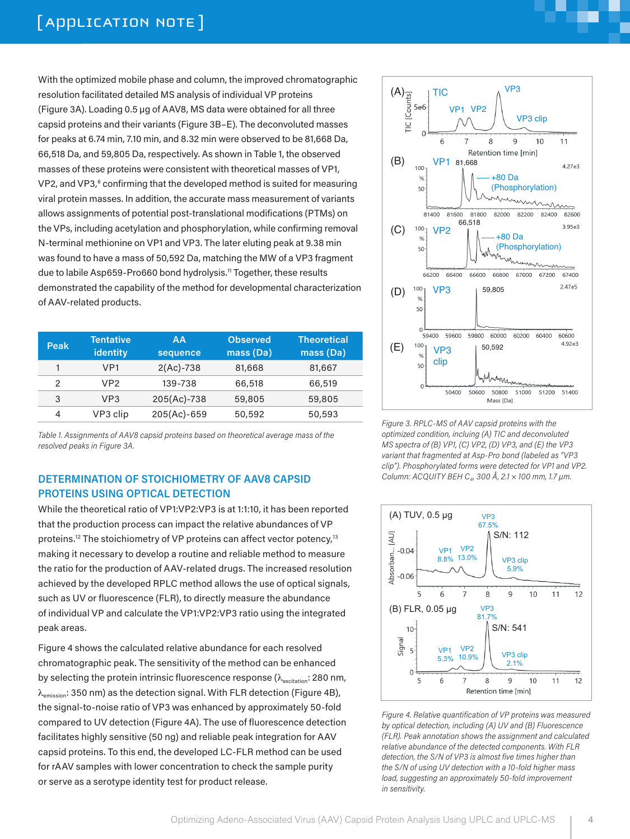With the optimized mobile phase and column, the improved chromatographic resolution facilitated detailed MS analysis of individual VP proteins (Figure 3A). Loading 0.5 µg of AAV8, MS data were obtained for all three capsid proteins and their variants (Figure 3B–E). The deconvoluted masses for peaks at 6.74 min, 7.10 min, and 8.32 min were observed to be 81,668 Da, 66,518 Da, and 59,805 Da, respectively. As shown in Table 1, the observed masses of these proteins were consistent with theoretical masses of VP1, VP2, and VP3,<sup>6</sup> confirming that the developed method is suited for measuring viral protein masses. In addition, the accurate mass measurement of variants allows assignments of potential post-translational modifications (PTMs) on the VPs, including acetylation and phosphorylation, while confirming removal N-terminal methionine on VP1 and VP3. The later eluting peak at 9.38 min was found to have a mass of 50,592 Da, matching the MW of a VP3 fragment due to labile Asp659-Pro660 bond hydrolysis.<sup>11</sup> Together, these results demonstrated the capability of the method for developmental characterization of AAV-related products.

| <b>Peak</b> | <b>Tentative</b><br>identity | AA<br>sequence | <b>Observed</b><br>mass (Da) | <b>Theoretical</b><br>mass (Da) |
|-------------|------------------------------|----------------|------------------------------|---------------------------------|
|             | VP1                          | $2(Ac) - 738$  | 81,668                       | 81,667                          |
| 2           | VP <sub>2</sub>              | 139-738        | 66,518                       | 66,519                          |
| 3           | VP3                          | 205(Ac)-738    | 59,805                       | 59,805                          |
| 4           | VP3 clip                     | 205(Ac)-659    | 50,592                       | 50,593                          |

*Table 1. Assignments of AAV8 capsid proteins based on theoretical average mass of the resolved peaks in Figure 3A.*

### **DETERMINATION OF STOICHIOMETRY OF AAV8 CAPSID PROTEINS USING OPTICAL DETECTION**

While the theoretical ratio of VP1:VP2:VP3 is at 1:1:10, it has been reported that the production process can impact the relative abundances of VP proteins.<sup>12</sup> The stoichiometry of VP proteins can affect vector potency,<sup>13</sup> making it necessary to develop a routine and reliable method to measure the ratio for the production of AAV-related drugs. The increased resolution achieved by the developed RPLC method allows the use of optical signals, such as UV or fluorescence (FLR), to directly measure the abundance of individual VP and calculate the VP1:VP2:VP3 ratio using the integrated peak areas.

Figure 4 shows the calculated relative abundance for each resolved chromatographic peak. The sensitivity of the method can be enhanced by selecting the protein intrinsic fluorescence response ( $\lambda_{\text{excitation}}$ : 280 nm,  $\lambda_{\text{emission}}$ : 350 nm) as the detection signal. With FLR detection (Figure 4B), the signal-to-noise ratio of VP3 was enhanced by approximately 50-fold compared to UV detection (Figure 4A). The use of fluorescence detection facilitates highly sensitive (50 ng) and reliable peak integration for AAV capsid proteins. To this end, the developed LC-FLR method can be used for rAAV samples with lower concentration to check the sample purity or serve as a serotype identity test for product release.



**The Second** 

*Figure 3. RPLC-MS of AAV capsid proteins with the optimized condition, incluing (A) TIC and deconvoluted MS spectra of (B) VP1, (C) VP2, (D) VP3, and (E) the VP3 variant that fragmented at Asp-Pro bond (labeled as "VP3 clip"). Phosphorylated forms were detected for VP1 and VP2. Column: ACQUITY BEH C4, 300 Å, 2.1 × 100 mm, 1.7 µm.* 



*Figure 4. Relative quantification of VP proteins was measured by optical detection, including (A) UV and (B) Fluorescence (FLR). Peak annotation shows the assignment and calculated relative abundance of the detected components. With FLR detection, the S/N of VP3 is almost five times higher than the S/N of using UV detection with a 10-fold higher mass load, suggesting an approximately 50-fold improvement in sensitivity.*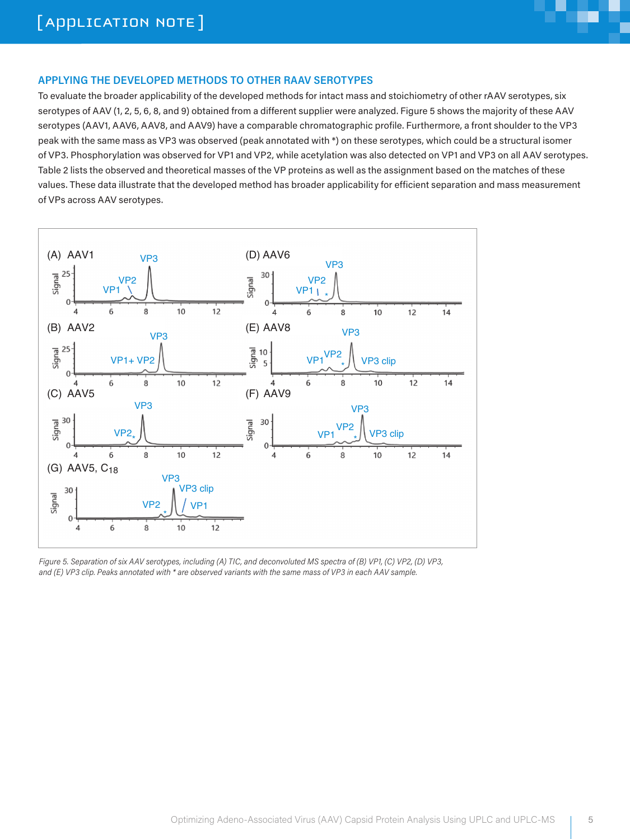

## **APPLYING THE DEVELOPED METHODS TO OTHER RAAV SEROTYPES**

To evaluate the broader applicability of the developed methods for intact mass and stoichiometry of other rAAV serotypes, six serotypes of AAV (1, 2, 5, 6, 8, and 9) obtained from a different supplier were analyzed. Figure 5 shows the majority of these AAV serotypes (AAV1, AAV6, AAV8, and AAV9) have a comparable chromatographic profile. Furthermore, a front shoulder to the VP3 peak with the same mass as VP3 was observed (peak annotated with \*) on these serotypes, which could be a structural isomer of VP3. Phosphorylation was observed for VP1 and VP2, while acetylation was also detected on VP1 and VP3 on all AAV serotypes. Table 2 lists the observed and theoretical masses of the VP proteins as well as the assignment based on the matches of these values. These data illustrate that the developed method has broader applicability for efficient separation and mass measurement of VPs across AAV serotypes.



*Figure 5. Separation of six AAV serotypes, including (A) TIC, and deconvoluted MS spectra of (B) VP1, (C) VP2, (D) VP3, and (E) VP3 clip. Peaks annotated with \* are observed variants with the same mass of VP3 in each AAV sample.*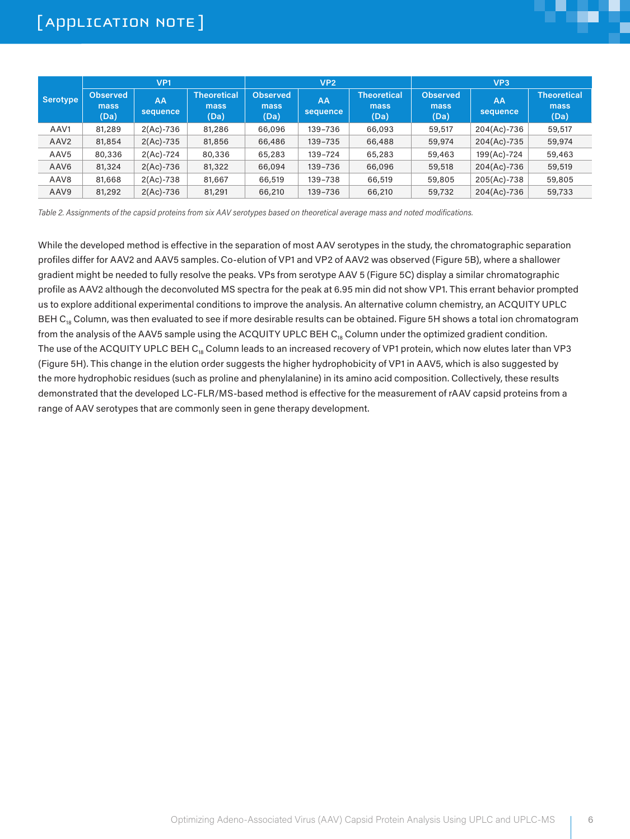|                  | VP <sub>1</sub>                 |                |                                    | VP <sub>2</sub>                 |                |                                    | VP <sub>3</sub>                 |                |                                    |
|------------------|---------------------------------|----------------|------------------------------------|---------------------------------|----------------|------------------------------------|---------------------------------|----------------|------------------------------------|
| Serotype         | <b>Observed</b><br>mass<br>(Da) | AA<br>sequence | <b>Theoretical</b><br>mass<br>(Da) | <b>Observed</b><br>mass<br>(Da) | AA<br>sequence | <b>Theoretical</b><br>mass<br>(Da) | <b>Observed</b><br>mass<br>(Da) | AA<br>sequence | <b>Theoretical</b><br>mass<br>(Da) |
| AAV1             | 81,289                          | $2(Ac) - 736$  | 81,286                             | 66,096                          | 139-736        | 66,093                             | 59,517                          | 204(Ac)-736    | 59,517                             |
| AAV <sub>2</sub> | 81,854                          | $2(Ac) - 735$  | 81,856                             | 66,486                          | 139-735        | 66,488                             | 59,974                          | 204(Ac)-735    | 59,974                             |
| AAV <sub>5</sub> | 80,336                          | $2(Ac) - 724$  | 80,336                             | 65,283                          | 139-724        | 65,283                             | 59,463                          | 199(Ac)-724    | 59,463                             |
| AAV <sub>6</sub> | 81,324                          | $2(Ac) - 736$  | 81,322                             | 66,094                          | 139-736        | 66,096                             | 59,518                          | 204(Ac)-736    | 59,519                             |
| AAV <sub>8</sub> | 81,668                          | $2(Ac) - 738$  | 81,667                             | 66,519                          | 139-738        | 66,519                             | 59,805                          | 205(Ac)-738    | 59,805                             |
| AAV9             | 81,292                          | $2(Ac) - 736$  | 81,291                             | 66,210                          | 139-736        | 66,210                             | 59,732                          | 204(Ac)-736    | 59,733                             |

*Table 2. Assignments of the capsid proteins from six AAV serotypes based on theoretical average mass and noted modifications.*

While the developed method is effective in the separation of most AAV serotypes in the study, the chromatographic separation profiles differ for AAV2 and AAV5 samples. Co-elution of VP1 and VP2 of AAV2 was observed (Figure 5B), where a shallower gradient might be needed to fully resolve the peaks. VPs from serotype AAV 5 (Figure 5C) display a similar chromatographic profile as AAV2 although the deconvoluted MS spectra for the peak at 6.95 min did not show VP1. This errant behavior prompted us to explore additional experimental conditions to improve the analysis. An alternative column chemistry, an ACQUITY UPLC BEH  $C_{18}$  Column, was then evaluated to see if more desirable results can be obtained. Figure 5H shows a total ion chromatogram from the analysis of the AAV5 sample using the ACQUITY UPLC BEH C<sub>18</sub> Column under the optimized gradient condition. The use of the ACQUITY UPLC BEH  $C_{18}$  Column leads to an increased recovery of VP1 protein, which now elutes later than VP3 (Figure 5H). This change in the elution order suggests the higher hydrophobicity of VP1 in AAV5, which is also suggested by the more hydrophobic residues (such as proline and phenylalanine) in its amino acid composition. Collectively, these results demonstrated that the developed LC-FLR/MS-based method is effective for the measurement of rAAV capsid proteins from a range of AAV serotypes that are commonly seen in gene therapy development.